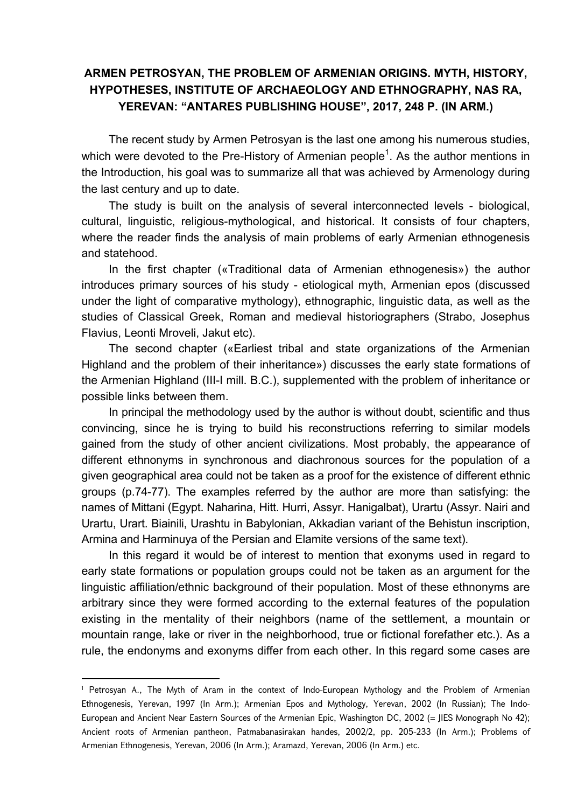## **ARMEN PETROSYAN, THE PROBLEM OF ARMENIAN ORIGINS. MYTH, HISTORY, HYPOTHESES, INSTITUTE OF ARCHAEOLOGY AND ETHNOGRAPHY, NAS RA, YEREVAN: "ANTARES PUBLISHING HOUSE", 2017, 248 P. (IN ARM.)**

The recent study by Armen Petrosyan is the last one among his numerous studies, which were devoted to the Pre-History of Armenian people<sup>1</sup>. As the author mentions in the Introduction, his goal was to summarize all that was achieved by Armenology during the last century and up to date.

The study is built on the analysis of several interconnected levels - biological, cultural, linguistic, religious-mythological, and historical. It consists of four chapters, where the reader finds the analysis of main problems of early Armenian ethnogenesis and statehood.

In the first chapter («Traditional data of Armenian ethnogenesis») the author introduces primary sources of his study - etiological myth, Armenian epos (discussed under the light of comparative mythology), ethnographic, linguistic data, as well as the studies of Classical Greek, Roman and medieval historiographers (Strabo, Josephus Flavius, Leonti Mroveli, Jakut etc).

The second chapter («Earliest tribal and state organizations of the Armenian Highland and the problem of their inheritance») discusses the early state formations of the Armenian Highland (III-I mill. B.C.), supplemented with the problem of inheritance or possible links between them.

In principal the methodology used by the author is without doubt, scientific and thus convincing, since he is trying to build his reconstructions referring to similar models gained from the study of other ancient civilizations. Most probably, the appearance of different ethnonyms in synchronous and diachronous sources for the population of a given geographical area could not be taken as a proof for the existence of different ethnic groups (p.74-77). The examples referred by the author are more than satisfying: the names of Mittani (Egypt. Naharina, Hitt. Hurri, Assyr. Hanigalbat), Urartu (Assyr. Nairi and Urartu, Urart. Biainili, Urashtu in Babylonian, Akkadian variant of the Behistun inscription, Armina and Harminuya of the Persian and Elamite versions of the same text).

In this regard it would be of interest to mention that exonyms used in regard to early state formations or population groups could not be taken as an argument for the linguistic affiliation/ethnic background of their population. Most of these ethnonyms are arbitrary since they were formed according to the external features of the population existing in the mentality of their neighbors (name of the settlement, a mountain or mountain range, lake or river in the neighborhood, true or fictional forefather etc.). As a rule, the endonyms and exonyms differ from each other. In this regard some cases are

**.** 

<sup>1</sup> Petrosyan A., The Myth of Aram in the context of Indo-European Mythology and the Problem of Armenian Ethnogenesis, Yerevan, 1997 (In Arm.); Armenian Epos and Mythology, Yerevan, 2002 (In Russian); The Indo-European and Ancient Near Eastern Sources of the Armenian Epic, Washington DC, 2002 (= JIES Monograph No 42); Ancient roots of Armenian pantheon, Patmabanasirakan handes, 2002/2, pp. 205-233 (In Arm.); Problems of Armenian Ethnogenesis, Yerevan, 2006 (In Arm.); Aramazd, Yerevan, 2006 (In Arm.) etc.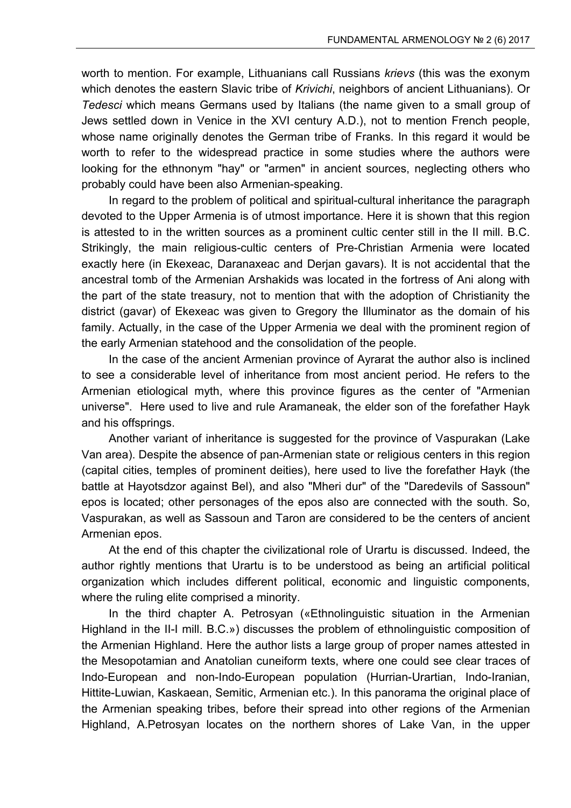worth to mention. For example, Lithuanians call Russians *krievs* (this was the exonym which denotes the eastern Slavic tribe of *Krivichi*, neighbors of ancient Lithuanians). Or *Tedesci* which means Germans used by Italians (the name given to a small group of Jews settled down in Venice in the XVI century A.D.), not to mention French people, whose name originally denotes the German tribe of Franks. In this regard it would be worth to refer to the widespread practice in some studies where the authors were looking for the ethnonym "hay" or "armen" in ancient sources, neglecting others who probably could have been also Armenian-speaking.

In regard to the problem of political and spiritual-cultural inheritance the paragraph devoted to the Upper Armenia is of utmost importance. Here it is shown that this region is attested to in the written sources as a prominent cultic center still in the II mill. B.C. Strikingly, the main religious-cultic centers of Pre-Christian Armenia were located exactly here (in Ekexeac, Daranaxeac and Derjan gavars). It is not accidental that the ancestral tomb of the Armenian Arshakids was located in the fortress of Ani along with the part of the state treasury, not to mention that with the adoption of Christianity the district (gavar) of Ekexeac was given to Gregory the Illuminator as the domain of his family. Actually, in the case of the Upper Armenia we deal with the prominent region of the early Armenian statehood and the consolidation of the people.

In the case of the ancient Armenian province of Ayrarat the author also is inclined to see a considerable level of inheritance from most ancient period. He refers to the Armenian etiological myth, where this province figures as the center of "Armenian universe". Here used to live and rule Aramaneak, the elder son of the forefather Hayk and his offsprings.

Another variant of inheritance is suggested for the province of Vaspurakan (Lake Van area). Despite the absence of pan-Armenian state or religious centers in this region (capital cities, temples of prominent deities), here used to live the forefather Hayk (the battle at Hayotsdzor against Bel), and also "Mheri dur" of the "Daredevils of Sassoun" epos is located; other personages of the epos also are connected with the south. So, Vaspurakan, as well as Sassoun and Taron are considered to be the centers of ancient Armenian epos.

At the end of this chapter the civilizational role of Urartu is discussed. Indeed, the author rightly mentions that Urartu is to be understood as being an artificial political organization which includes different political, economic and linguistic components, where the ruling elite comprised a minority.

In the third chapter A. Petrosyan («Ethnolinguistic situation in the Armenian Highland in the II-I mill. B.C.») discusses the problem of ethnolinguistic composition of the Armenian Highland. Here the author lists a large group of proper names attested in the Mesopotamian and Anatolian cuneiform texts, where one could see clear traces of Indo-European and non-Indo-European population (Hurrian-Urartian, Indo-Iranian, Hittite-Luwian, Kaskaean, Semitic, Armenian etc.). In this panorama the original place of the Armenian speaking tribes, before their spread into other regions of the Armenian Highland, A.Petrosyan locates on the northern shores of Lake Van, in the upper